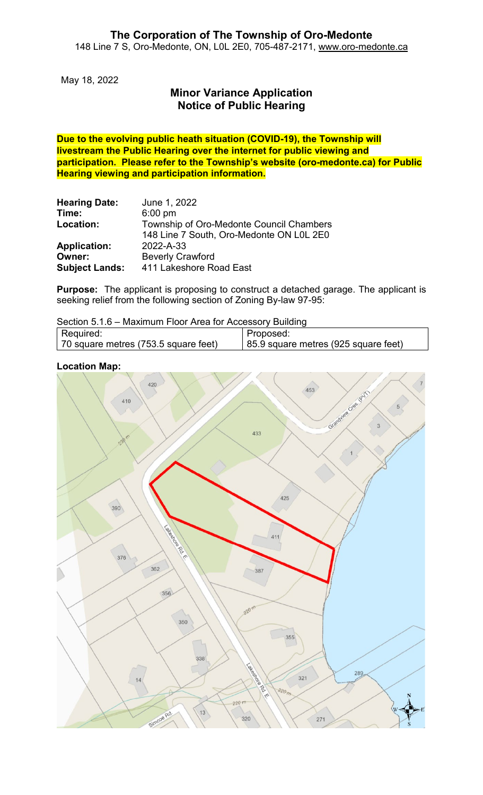May 18, 2022

# **Minor Variance Application Notice of Public Hearing**

**Due to the evolving public heath situation (COVID-19), the Township will livestream the Public Hearing over the internet for public viewing and participation. Please refer to the Township's website (oro-medonte.ca) for Public Hearing viewing and participation information.**

| <b>Hearing Date:</b>  | June 1, 2022                                                                         |
|-----------------------|--------------------------------------------------------------------------------------|
| Time:                 | $6:00$ pm                                                                            |
| Location:             | Township of Oro-Medonte Council Chambers<br>148 Line 7 South, Oro-Medonte ON L0L 2E0 |
| <b>Application:</b>   | 2022-A-33                                                                            |
| Owner:                | <b>Beverly Crawford</b>                                                              |
| <b>Subject Lands:</b> | 411 Lakeshore Road East                                                              |

**Purpose:** The applicant is proposing to construct a detached garage. The applicant is seeking relief from the following section of Zoning By-law 97-95:

Section 5.1.6 – Maximum Floor Area for Accessory Building

| Required:                            | Proposed:                            |
|--------------------------------------|--------------------------------------|
| 70 square metres (753.5 square feet) | 85.9 square metres (925 square feet) |

### **Location Map:**

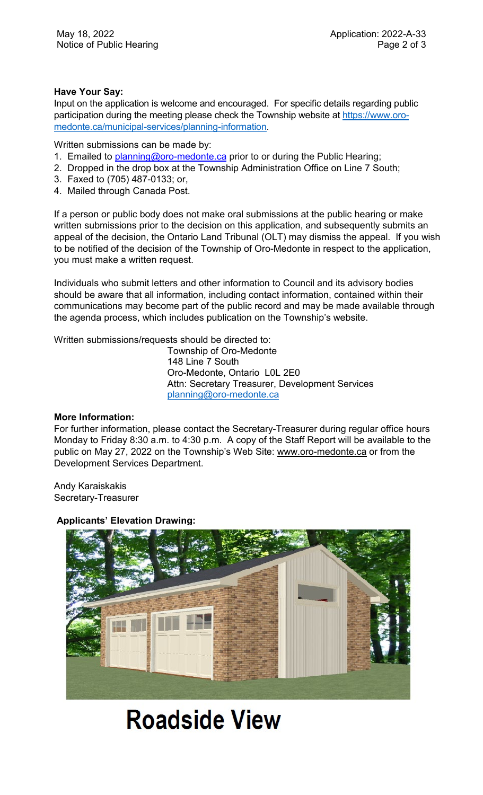## **Have Your Say:**

Input on the application is welcome and encouraged. For specific details regarding public participation during the meeting please check the Township website at [https://www.oro](https://www.oro-medonte.ca/municipal-services/planning-information)[medonte.ca/municipal-services/planning-information.](https://www.oro-medonte.ca/municipal-services/planning-information)

Written submissions can be made by:

- 1. Emailed to **planning@oro-medonte.ca** prior to or during the Public Hearing;
- 2. Dropped in the drop box at the Township Administration Office on Line 7 South;
- 3. Faxed to (705) 487-0133; or,
- 4. Mailed through Canada Post.

If a person or public body does not make oral submissions at the public hearing or make written submissions prior to the decision on this application, and subsequently submits an appeal of the decision, the Ontario Land Tribunal (OLT) may dismiss the appeal. If you wish to be notified of the decision of the Township of Oro-Medonte in respect to the application, you must make a written request.

Individuals who submit letters and other information to Council and its advisory bodies should be aware that all information, including contact information, contained within their communications may become part of the public record and may be made available through the agenda process, which includes publication on the Township's website.

Written submissions/requests should be directed to:

Township of Oro-Medonte 148 Line 7 South Oro-Medonte, Ontario L0L 2E0 Attn: Secretary Treasurer, Development Services [planning@oro-medonte.ca](mailto:planning@oro-medonte.ca)

#### **More Information:**

For further information, please contact the Secretary-Treasurer during regular office hours Monday to Friday 8:30 a.m. to 4:30 p.m. A copy of the Staff Report will be available to the public on May 27, 2022 on the Township's Web Site: [www.oro-medonte.ca](http://www.oro-medonte.ca/) or from the Development Services Department.

Andy Karaiskakis Secretary-Treasurer

# **Applicants' Elevation Drawing:**



# **Roadside View**